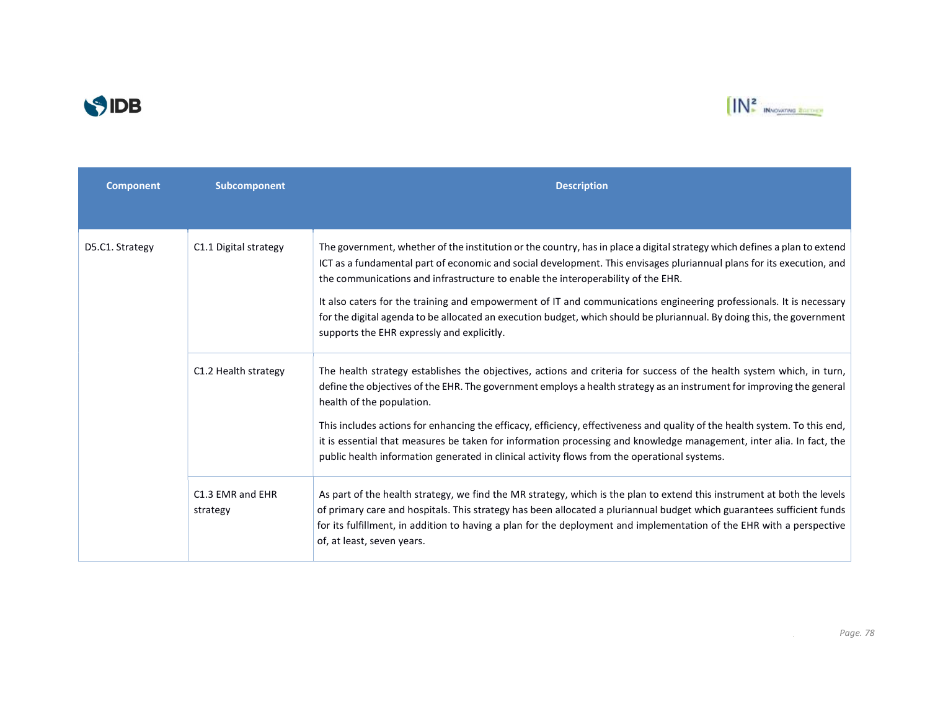



| <b>Component</b> | Subcomponent                 | <b>Description</b>                                                                                                                                                                                                                                                                                                                                                                                                                                                                                                                                                                                                                    |
|------------------|------------------------------|---------------------------------------------------------------------------------------------------------------------------------------------------------------------------------------------------------------------------------------------------------------------------------------------------------------------------------------------------------------------------------------------------------------------------------------------------------------------------------------------------------------------------------------------------------------------------------------------------------------------------------------|
|                  |                              |                                                                                                                                                                                                                                                                                                                                                                                                                                                                                                                                                                                                                                       |
| D5.C1. Strategy  | C1.1 Digital strategy        | The government, whether of the institution or the country, has in place a digital strategy which defines a plan to extend<br>ICT as a fundamental part of economic and social development. This envisages pluriannual plans for its execution, and<br>the communications and infrastructure to enable the interoperability of the EHR.<br>It also caters for the training and empowerment of IT and communications engineering professionals. It is necessary<br>for the digital agenda to be allocated an execution budget, which should be pluriannual. By doing this, the government<br>supports the EHR expressly and explicitly. |
|                  | C1.2 Health strategy         | The health strategy establishes the objectives, actions and criteria for success of the health system which, in turn,<br>define the objectives of the EHR. The government employs a health strategy as an instrument for improving the general<br>health of the population.<br>This includes actions for enhancing the efficacy, efficiency, effectiveness and quality of the health system. To this end,<br>it is essential that measures be taken for information processing and knowledge management, inter alia. In fact, the<br>public health information generated in clinical activity flows from the operational systems.     |
|                  | C1.3 EMR and EHR<br>strategy | As part of the health strategy, we find the MR strategy, which is the plan to extend this instrument at both the levels<br>of primary care and hospitals. This strategy has been allocated a pluriannual budget which guarantees sufficient funds<br>for its fulfillment, in addition to having a plan for the deployment and implementation of the EHR with a perspective<br>of, at least, seven years.                                                                                                                                                                                                                              |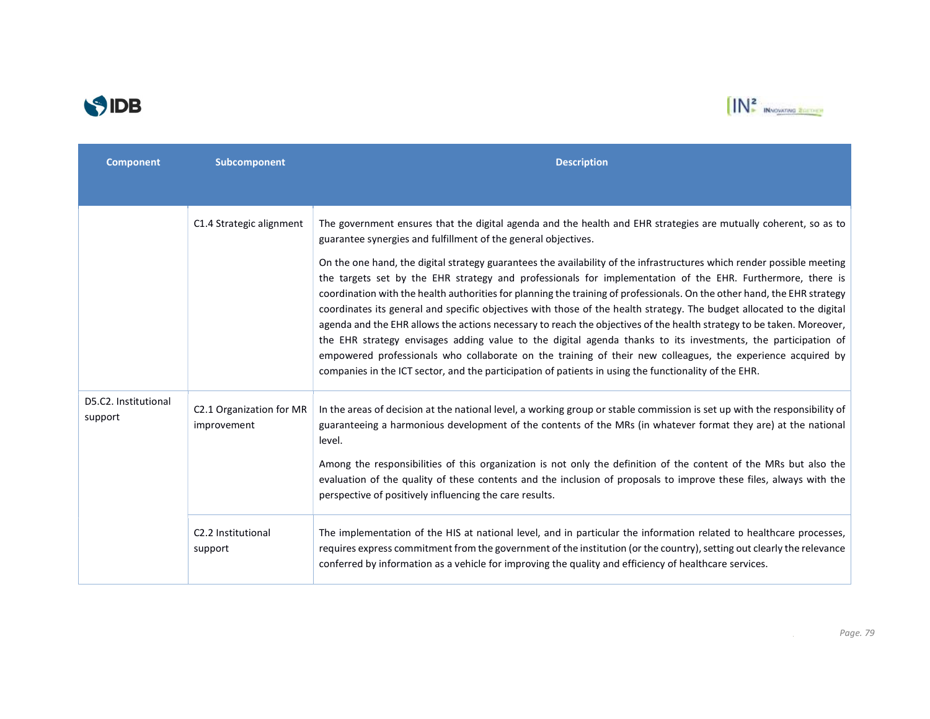



| <b>Component</b>                | Subcomponent                            | <b>Description</b>                                                                                                                                                                                                                                                                                                                                                                                                                                                                                                                                                                                                                                                                                                                                                                                                                                                                                                                                           |
|---------------------------------|-----------------------------------------|--------------------------------------------------------------------------------------------------------------------------------------------------------------------------------------------------------------------------------------------------------------------------------------------------------------------------------------------------------------------------------------------------------------------------------------------------------------------------------------------------------------------------------------------------------------------------------------------------------------------------------------------------------------------------------------------------------------------------------------------------------------------------------------------------------------------------------------------------------------------------------------------------------------------------------------------------------------|
|                                 |                                         |                                                                                                                                                                                                                                                                                                                                                                                                                                                                                                                                                                                                                                                                                                                                                                                                                                                                                                                                                              |
|                                 | C1.4 Strategic alignment                | The government ensures that the digital agenda and the health and EHR strategies are mutually coherent, so as to<br>guarantee synergies and fulfillment of the general objectives.                                                                                                                                                                                                                                                                                                                                                                                                                                                                                                                                                                                                                                                                                                                                                                           |
|                                 |                                         | On the one hand, the digital strategy guarantees the availability of the infrastructures which render possible meeting<br>the targets set by the EHR strategy and professionals for implementation of the EHR. Furthermore, there is<br>coordination with the health authorities for planning the training of professionals. On the other hand, the EHR strategy<br>coordinates its general and specific objectives with those of the health strategy. The budget allocated to the digital<br>agenda and the EHR allows the actions necessary to reach the objectives of the health strategy to be taken. Moreover,<br>the EHR strategy envisages adding value to the digital agenda thanks to its investments, the participation of<br>empowered professionals who collaborate on the training of their new colleagues, the experience acquired by<br>companies in the ICT sector, and the participation of patients in using the functionality of the EHR. |
| D5.C2. Institutional<br>support | C2.1 Organization for MR<br>improvement | In the areas of decision at the national level, a working group or stable commission is set up with the responsibility of<br>guaranteeing a harmonious development of the contents of the MRs (in whatever format they are) at the national<br>level.                                                                                                                                                                                                                                                                                                                                                                                                                                                                                                                                                                                                                                                                                                        |
|                                 |                                         | Among the responsibilities of this organization is not only the definition of the content of the MRs but also the<br>evaluation of the quality of these contents and the inclusion of proposals to improve these files, always with the<br>perspective of positively influencing the care results.                                                                                                                                                                                                                                                                                                                                                                                                                                                                                                                                                                                                                                                           |
|                                 | C2.2 Institutional<br>support           | The implementation of the HIS at national level, and in particular the information related to healthcare processes,<br>requires express commitment from the government of the institution (or the country), setting out clearly the relevance<br>conferred by information as a vehicle for improving the quality and efficiency of healthcare services.                                                                                                                                                                                                                                                                                                                                                                                                                                                                                                                                                                                                      |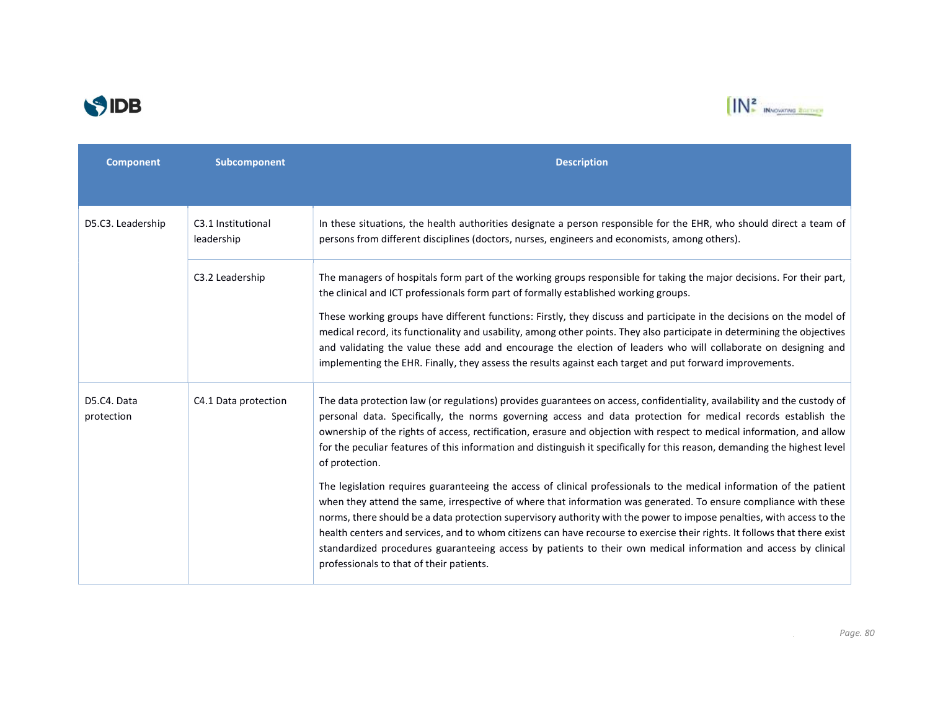



| <b>Component</b>          | Subcomponent                     | <b>Description</b>                                                                                                                                                                                                                                                                                                                                                                                                                                                                                                                                                                                                                                            |
|---------------------------|----------------------------------|---------------------------------------------------------------------------------------------------------------------------------------------------------------------------------------------------------------------------------------------------------------------------------------------------------------------------------------------------------------------------------------------------------------------------------------------------------------------------------------------------------------------------------------------------------------------------------------------------------------------------------------------------------------|
|                           |                                  |                                                                                                                                                                                                                                                                                                                                                                                                                                                                                                                                                                                                                                                               |
| D5.C3. Leadership         | C3.1 Institutional<br>leadership | In these situations, the health authorities designate a person responsible for the EHR, who should direct a team of<br>persons from different disciplines (doctors, nurses, engineers and economists, among others).                                                                                                                                                                                                                                                                                                                                                                                                                                          |
|                           | C3.2 Leadership                  | The managers of hospitals form part of the working groups responsible for taking the major decisions. For their part,<br>the clinical and ICT professionals form part of formally established working groups.                                                                                                                                                                                                                                                                                                                                                                                                                                                 |
|                           |                                  | These working groups have different functions: Firstly, they discuss and participate in the decisions on the model of<br>medical record, its functionality and usability, among other points. They also participate in determining the objectives<br>and validating the value these add and encourage the election of leaders who will collaborate on designing and<br>implementing the EHR. Finally, they assess the results against each target and put forward improvements.                                                                                                                                                                               |
| D5.C4. Data<br>protection | C4.1 Data protection             | The data protection law (or regulations) provides guarantees on access, confidentiality, availability and the custody of<br>personal data. Specifically, the norms governing access and data protection for medical records establish the<br>ownership of the rights of access, rectification, erasure and objection with respect to medical information, and allow<br>for the peculiar features of this information and distinguish it specifically for this reason, demanding the highest level<br>of protection.                                                                                                                                           |
|                           |                                  | The legislation requires guaranteeing the access of clinical professionals to the medical information of the patient<br>when they attend the same, irrespective of where that information was generated. To ensure compliance with these<br>norms, there should be a data protection supervisory authority with the power to impose penalties, with access to the<br>health centers and services, and to whom citizens can have recourse to exercise their rights. It follows that there exist<br>standardized procedures guaranteeing access by patients to their own medical information and access by clinical<br>professionals to that of their patients. |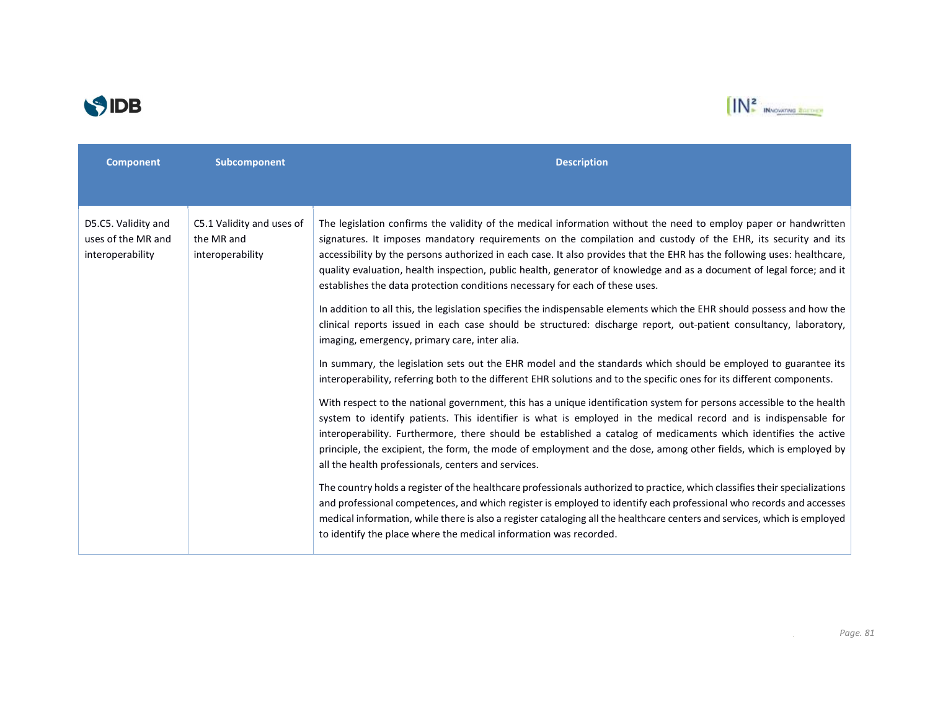



| <b>Component</b>                                              | Subcomponent                                                | <b>Description</b>                                                                                                                                                                                                                                                                                                                                                                                                                                                                                                                                                    |
|---------------------------------------------------------------|-------------------------------------------------------------|-----------------------------------------------------------------------------------------------------------------------------------------------------------------------------------------------------------------------------------------------------------------------------------------------------------------------------------------------------------------------------------------------------------------------------------------------------------------------------------------------------------------------------------------------------------------------|
|                                                               |                                                             |                                                                                                                                                                                                                                                                                                                                                                                                                                                                                                                                                                       |
| D5.C5. Validity and<br>uses of the MR and<br>interoperability | C5.1 Validity and uses of<br>the MR and<br>interoperability | The legislation confirms the validity of the medical information without the need to employ paper or handwritten<br>signatures. It imposes mandatory requirements on the compilation and custody of the EHR, its security and its<br>accessibility by the persons authorized in each case. It also provides that the EHR has the following uses: healthcare,<br>quality evaluation, health inspection, public health, generator of knowledge and as a document of legal force; and it<br>establishes the data protection conditions necessary for each of these uses. |
|                                                               |                                                             | In addition to all this, the legislation specifies the indispensable elements which the EHR should possess and how the<br>clinical reports issued in each case should be structured: discharge report, out-patient consultancy, laboratory,<br>imaging, emergency, primary care, inter alia.                                                                                                                                                                                                                                                                          |
|                                                               |                                                             | In summary, the legislation sets out the EHR model and the standards which should be employed to guarantee its<br>interoperability, referring both to the different EHR solutions and to the specific ones for its different components.                                                                                                                                                                                                                                                                                                                              |
|                                                               |                                                             | With respect to the national government, this has a unique identification system for persons accessible to the health<br>system to identify patients. This identifier is what is employed in the medical record and is indispensable for<br>interoperability. Furthermore, there should be established a catalog of medicaments which identifies the active<br>principle, the excipient, the form, the mode of employment and the dose, among other fields, which is employed by<br>all the health professionals, centers and services.                               |
|                                                               |                                                             | The country holds a register of the healthcare professionals authorized to practice, which classifies their specializations<br>and professional competences, and which register is employed to identify each professional who records and accesses<br>medical information, while there is also a register cataloging all the healthcare centers and services, which is employed<br>to identify the place where the medical information was recorded.                                                                                                                  |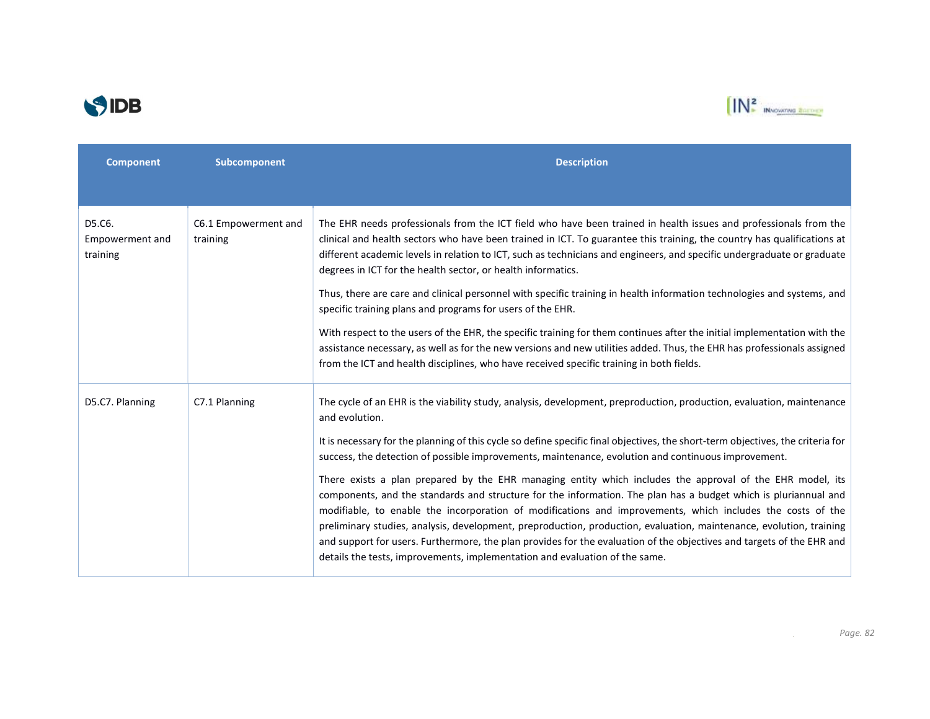



| <b>Component</b>                      | Subcomponent                     | <b>Description</b>                                                                                                                                                                                                                                                                                                                                                                                                                                                                                                                                                                                                                                                        |
|---------------------------------------|----------------------------------|---------------------------------------------------------------------------------------------------------------------------------------------------------------------------------------------------------------------------------------------------------------------------------------------------------------------------------------------------------------------------------------------------------------------------------------------------------------------------------------------------------------------------------------------------------------------------------------------------------------------------------------------------------------------------|
|                                       |                                  |                                                                                                                                                                                                                                                                                                                                                                                                                                                                                                                                                                                                                                                                           |
| D5.C6.<br>Empowerment and<br>training | C6.1 Empowerment and<br>training | The EHR needs professionals from the ICT field who have been trained in health issues and professionals from the<br>clinical and health sectors who have been trained in ICT. To guarantee this training, the country has qualifications at<br>different academic levels in relation to ICT, such as technicians and engineers, and specific undergraduate or graduate<br>degrees in ICT for the health sector, or health informatics.                                                                                                                                                                                                                                    |
|                                       |                                  | Thus, there are care and clinical personnel with specific training in health information technologies and systems, and<br>specific training plans and programs for users of the EHR.                                                                                                                                                                                                                                                                                                                                                                                                                                                                                      |
|                                       |                                  | With respect to the users of the EHR, the specific training for them continues after the initial implementation with the<br>assistance necessary, as well as for the new versions and new utilities added. Thus, the EHR has professionals assigned<br>from the ICT and health disciplines, who have received specific training in both fields.                                                                                                                                                                                                                                                                                                                           |
| D5.C7. Planning                       | C7.1 Planning                    | The cycle of an EHR is the viability study, analysis, development, preproduction, production, evaluation, maintenance<br>and evolution.                                                                                                                                                                                                                                                                                                                                                                                                                                                                                                                                   |
|                                       |                                  | It is necessary for the planning of this cycle so define specific final objectives, the short-term objectives, the criteria for<br>success, the detection of possible improvements, maintenance, evolution and continuous improvement.                                                                                                                                                                                                                                                                                                                                                                                                                                    |
|                                       |                                  | There exists a plan prepared by the EHR managing entity which includes the approval of the EHR model, its<br>components, and the standards and structure for the information. The plan has a budget which is pluriannual and<br>modifiable, to enable the incorporation of modifications and improvements, which includes the costs of the<br>preliminary studies, analysis, development, preproduction, production, evaluation, maintenance, evolution, training<br>and support for users. Furthermore, the plan provides for the evaluation of the objectives and targets of the EHR and<br>details the tests, improvements, implementation and evaluation of the same. |